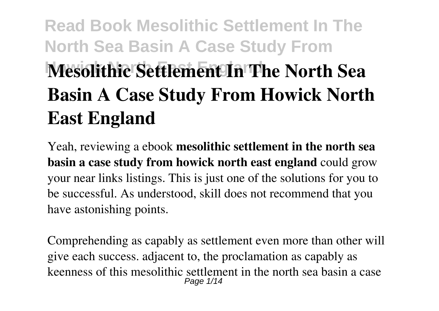# **Read Book Mesolithic Settlement In The North Sea Basin A Case Study From Mesolithic Settlement In The North Sea Basin A Case Study From Howick North East England**

Yeah, reviewing a ebook **mesolithic settlement in the north sea basin a case study from howick north east england** could grow your near links listings. This is just one of the solutions for you to be successful. As understood, skill does not recommend that you have astonishing points.

Comprehending as capably as settlement even more than other will give each success. adjacent to, the proclamation as capably as keenness of this mesolithic settlement in the north sea basin a case Page 1/14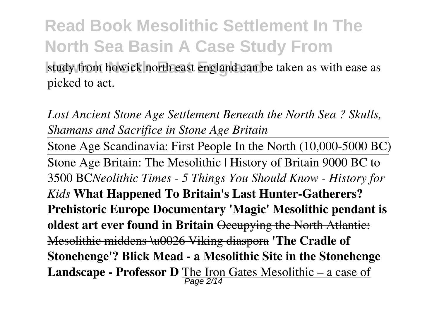**Read Book Mesolithic Settlement In The North Sea Basin A Case Study From** study from howick north east england can be taken as with ease as picked to act.

*Lost Ancient Stone Age Settlement Beneath the North Sea ? Skulls, Shamans and Sacrifice in Stone Age Britain*

Stone Age Scandinavia: First People In the North (10,000-5000 BC) Stone Age Britain: The Mesolithic | History of Britain 9000 BC to 3500 BC*Neolithic Times - 5 Things You Should Know - History for Kids* **What Happened To Britain's Last Hunter-Gatherers? Prehistoric Europe Documentary 'Magic' Mesolithic pendant is oldest art ever found in Britain** Occupying the North Atlantic: Mesolithic middens \u0026 Viking diaspora **'The Cradle of Stonehenge'? Blick Mead - a Mesolithic Site in the Stonehenge Landscape - Professor D** The Iron Gates Mesolithic – a case of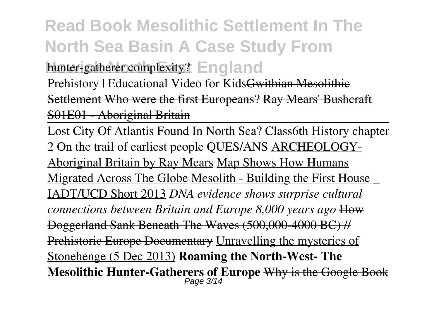#### **Read Book Mesolithic Settlement In The North Sea Basin A Case Study From hunter-gatherer complexity?** England

Prehistory | Educational Video for Kids<del>Gwithian Mesolithic</del> Settlement Who were the first Europeans? Ray Mears' Bushcraft S01E01 - Aboriginal Britain

Lost City Of Atlantis Found In North Sea? Class6th History chapter 2 On the trail of earliest people QUES/ANS ARCHEOLOGY-Aboriginal Britain by Ray Mears Map Shows How Humans Migrated Across The Globe Mesolith - Building the First House \_ IADT/UCD Short 2013 *DNA evidence shows surprise cultural connections between Britain and Europe 8,000 years ago* How Doggerland Sank Beneath The Waves (500,000-4000 BC) // Prehistoric Europe Documentary Unravelling the mysteries of Stonehenge (5 Dec 2013) **Roaming the North-West- The Mesolithic Hunter-Gatherers of Europe** Why is the Google Book Page 3/14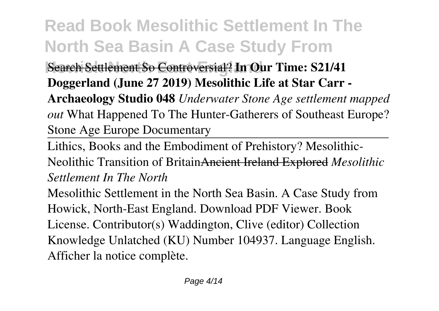**Search Settlement So Controversial? In Our Time: S21/41 Doggerland (June 27 2019) Mesolithic Life at Star Carr -**

**Archaeology Studio 048** *Underwater Stone Age settlement mapped out* What Happened To The Hunter-Gatherers of Southeast Europe? Stone Age Europe Documentary

Lithics, Books and the Embodiment of Prehistory? Mesolithic-Neolithic Transition of BritainAncient Ireland Explored *Mesolithic Settlement In The North*

Mesolithic Settlement in the North Sea Basin. A Case Study from Howick, North-East England. Download PDF Viewer. Book License. Contributor(s) Waddington, Clive (editor) Collection Knowledge Unlatched (KU) Number 104937. Language English. Afficher la notice complète.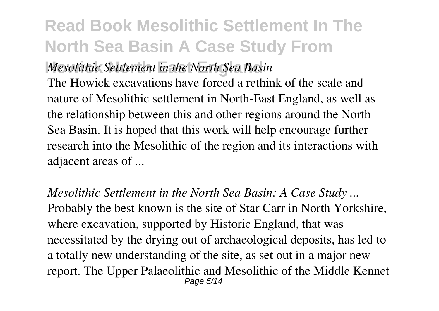#### **Howick North East England** *Mesolithic Settlement in the North Sea Basin*

The Howick excavations have forced a rethink of the scale and nature of Mesolithic settlement in North-East England, as well as the relationship between this and other regions around the North Sea Basin. It is hoped that this work will help encourage further research into the Mesolithic of the region and its interactions with adjacent areas of ...

*Mesolithic Settlement in the North Sea Basin: A Case Study ...* Probably the best known is the site of Star Carr in North Yorkshire, where excavation, supported by Historic England, that was necessitated by the drying out of archaeological deposits, has led to a totally new understanding of the site, as set out in a major new report. The Upper Palaeolithic and Mesolithic of the Middle Kennet Page 5/14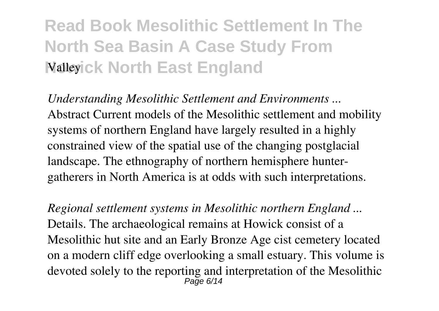### **Read Book Mesolithic Settlement In The North Sea Basin A Case Study From** *Malleyick North East England*

*Understanding Mesolithic Settlement and Environments ...* Abstract Current models of the Mesolithic settlement and mobility systems of northern England have largely resulted in a highly constrained view of the spatial use of the changing postglacial landscape. The ethnography of northern hemisphere huntergatherers in North America is at odds with such interpretations.

*Regional settlement systems in Mesolithic northern England ...* Details. The archaeological remains at Howick consist of a Mesolithic hut site and an Early Bronze Age cist cemetery located on a modern cliff edge overlooking a small estuary. This volume is devoted solely to the reporting and interpretation of the Mesolithic Page 6/14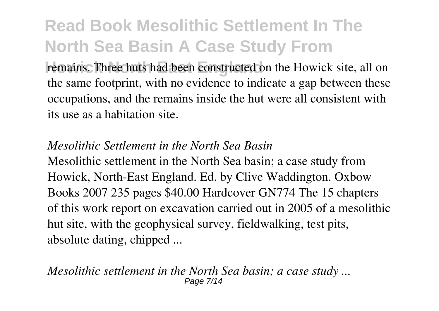remains. Three huts had been constructed on the Howick site, all on the same footprint, with no evidence to indicate a gap between these occupations, and the remains inside the hut were all consistent with its use as a habitation site.

#### *Mesolithic Settlement in the North Sea Basin*

Mesolithic settlement in the North Sea basin; a case study from Howick, North-East England. Ed. by Clive Waddington. Oxbow Books 2007 235 pages \$40.00 Hardcover GN774 The 15 chapters of this work report on excavation carried out in 2005 of a mesolithic hut site, with the geophysical survey, fieldwalking, test pits, absolute dating, chipped ...

*Mesolithic settlement in the North Sea basin; a case study ...* Page 7/14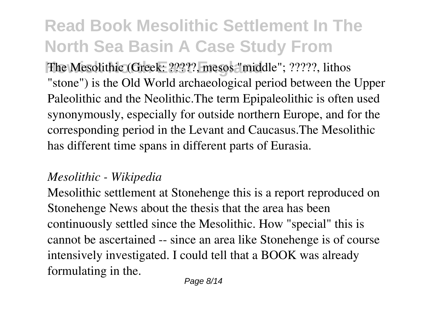The Mesolithic (Greek: ?????, mesos "middle"; ?????, lithos "stone") is the Old World archaeological period between the Upper Paleolithic and the Neolithic.The term Epipaleolithic is often used synonymously, especially for outside northern Europe, and for the corresponding period in the Levant and Caucasus.The Mesolithic has different time spans in different parts of Eurasia.

#### *Mesolithic - Wikipedia*

Mesolithic settlement at Stonehenge this is a report reproduced on Stonehenge News about the thesis that the area has been continuously settled since the Mesolithic. How "special" this is cannot be ascertained -- since an area like Stonehenge is of course intensively investigated. I could tell that a BOOK was already formulating in the.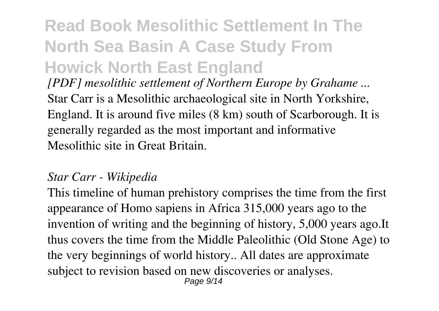### **Read Book Mesolithic Settlement In The North Sea Basin A Case Study From Howick North East England**

*[PDF] mesolithic settlement of Northern Europe by Grahame ...* Star Carr is a Mesolithic archaeological site in North Yorkshire, England. It is around five miles (8 km) south of Scarborough. It is generally regarded as the most important and informative Mesolithic site in Great Britain.

#### *Star Carr - Wikipedia*

This timeline of human prehistory comprises the time from the first appearance of Homo sapiens in Africa 315,000 years ago to the invention of writing and the beginning of history, 5,000 years ago.It thus covers the time from the Middle Paleolithic (Old Stone Age) to the very beginnings of world history.. All dates are approximate subject to revision based on new discoveries or analyses. Page 9/14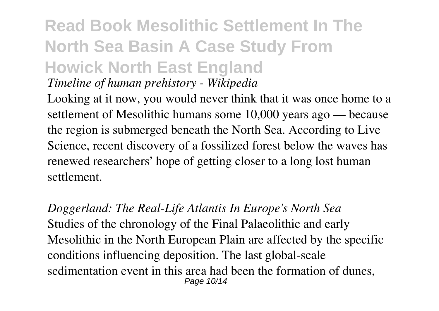#### **Read Book Mesolithic Settlement In The North Sea Basin A Case Study From Howick North East England** *Timeline of human prehistory - Wikipedia*

Looking at it now, you would never think that it was once home to a settlement of Mesolithic humans some 10,000 years ago — because the region is submerged beneath the North Sea. According to Live Science, recent discovery of a fossilized forest below the waves has renewed researchers' hope of getting closer to a long lost human settlement.

*Doggerland: The Real-Life Atlantis In Europe's North Sea* Studies of the chronology of the Final Palaeolithic and early Mesolithic in the North European Plain are affected by the specific conditions influencing deposition. The last global-scale sedimentation event in this area had been the formation of dunes, Page 10/14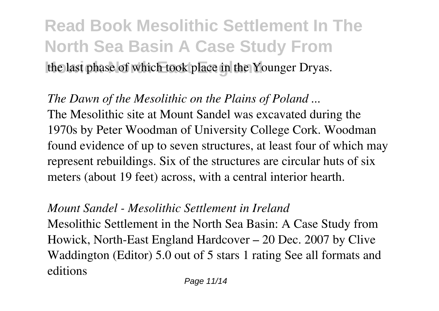### **Read Book Mesolithic Settlement In The North Sea Basin A Case Study From** the last phase of which took place in the Younger Dryas.

*The Dawn of the Mesolithic on the Plains of Poland ...* The Mesolithic site at Mount Sandel was excavated during the 1970s by Peter Woodman of University College Cork. Woodman found evidence of up to seven structures, at least four of which may represent rebuildings. Six of the structures are circular huts of six meters (about 19 feet) across, with a central interior hearth.

#### *Mount Sandel - Mesolithic Settlement in Ireland*

Mesolithic Settlement in the North Sea Basin: A Case Study from Howick, North-East England Hardcover – 20 Dec. 2007 by Clive Waddington (Editor) 5.0 out of 5 stars 1 rating See all formats and editions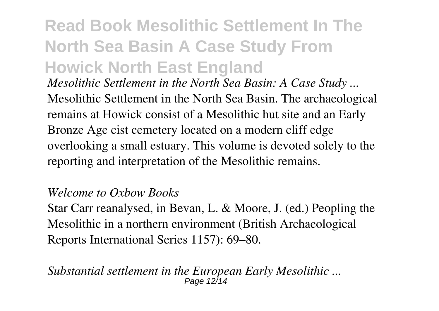### **Read Book Mesolithic Settlement In The North Sea Basin A Case Study From Howick North East England**

*Mesolithic Settlement in the North Sea Basin: A Case Study ...* Mesolithic Settlement in the North Sea Basin. The archaeological remains at Howick consist of a Mesolithic hut site and an Early Bronze Age cist cemetery located on a modern cliff edge overlooking a small estuary. This volume is devoted solely to the reporting and interpretation of the Mesolithic remains.

#### *Welcome to Oxbow Books*

Star Carr reanalysed, in Bevan, L. & Moore, J. (ed.) Peopling the Mesolithic in a northern environment (British Archaeological Reports International Series 1157): 69–80.

*Substantial settlement in the European Early Mesolithic ...* Page 12/14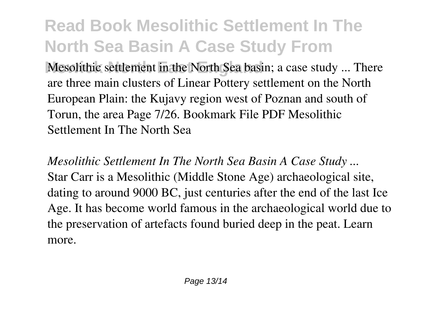**Mesolithic settlement in the North Sea basin; a case study ... There** are three main clusters of Linear Pottery settlement on the North European Plain: the Kujavy region west of Poznan and south of Torun, the area Page 7/26. Bookmark File PDF Mesolithic Settlement In The North Sea

*Mesolithic Settlement In The North Sea Basin A Case Study ...* Star Carr is a Mesolithic (Middle Stone Age) archaeological site, dating to around 9000 BC, just centuries after the end of the last Ice Age. It has become world famous in the archaeological world due to the preservation of artefacts found buried deep in the peat. Learn more.